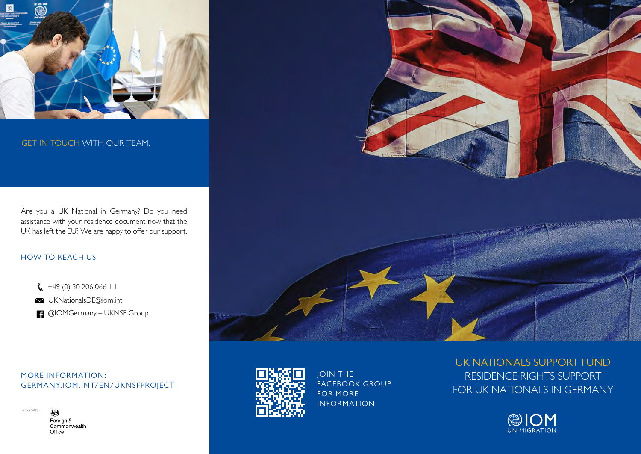

#### GET IN TOUCH WITH OUR TEAM.

Are you a UK National in Germany? Do you need assistance with your residence document now that the UK has left the EU? We are happy to offer our support.

#### HOW TO REACH US

- $\binom{4}{9}$  +49 (0) 30 206 066 111
- UKNationalsDE@iom.int
- **1** @IOMGermany UKNSF Group

MORE INFORMATION: GERMANY.IOM.INT/EN/UKNSFPROJECT



Supported by





JOIN THE FACEBOOK GROUP FOR MORE INFORMATION

# UK NATIONALS SUPPORT FUND RESIDENCE RIGHTS SUPPORT FOR UK NATIONALS IN GERMANY